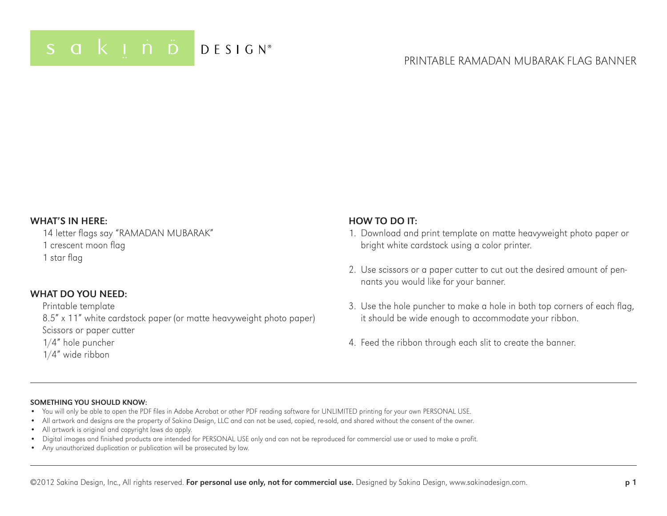## Printable RAMADAN MUBARAK Flag Banner

#### WHAT'S IN HERE:

14 letter flags say "RAMADAN MUBARAK" 1 crescent moon flag 1 star flag

#### WHAT DO YOU NFFD:

#### Printable template

8.5" x 11" white cardstock paper (or matte heavyweight photo paper) Scissors or paper cutter

#### 1/4" hole puncher

1/4" wide ribbon

#### HOW TO DO IT:

- 1. Download and print template on matte heavyweight photo paper or bright white cardstock using a color printer.
- 2. Use scissors or a paper cutter to cut out the desired amount of pennants you would like for your banner.
- 3. Use the hole puncher to make a hole in both top corners of each flag, it should be wide enough to accommodate your ribbon.
- 4. Feed the ribbon through each slit to create the banner.

#### Something you should know:

- You will only be able to open the PDF files in Adobe Acrobat or other PDF reading software for UNLIMITED printing for your own PERSONAL USE.
- All artwork and designs are the property of Sakina Design, LLC and can not be used, copied, re-sold, and shared without the consent of the owner.
- All artwork is original and copyright laws do apply.
- Digital images and finished products are intended for PERSONAL USE only and can not be reproduced for commercial use or used to make a profit.
- Any unauthorized duplication or publication will be prosecuted by law.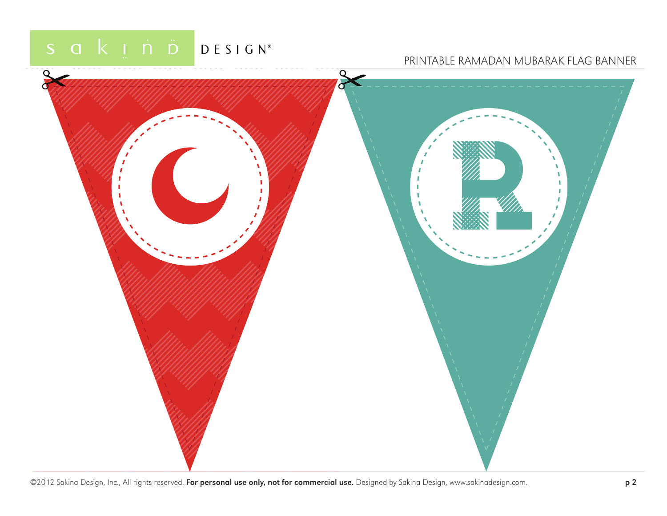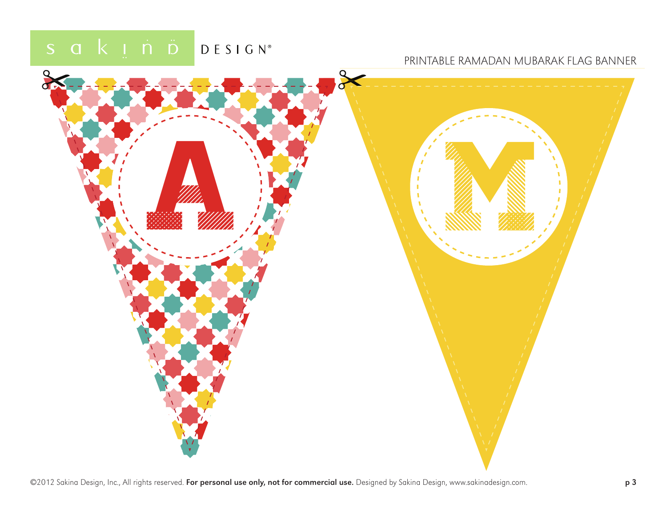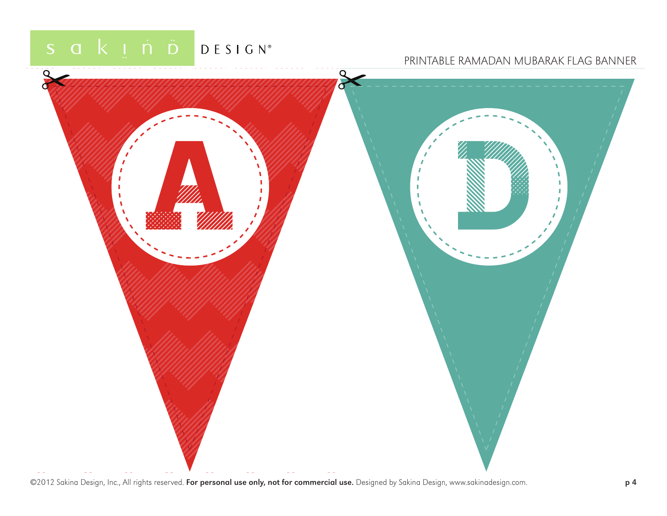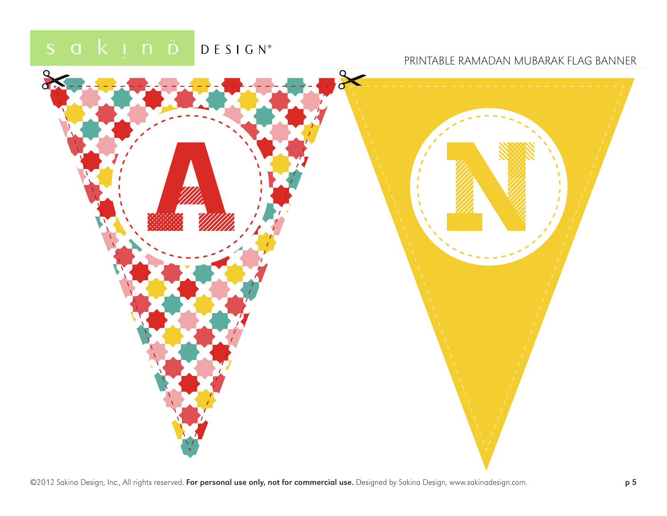![](_page_4_Picture_2.jpeg)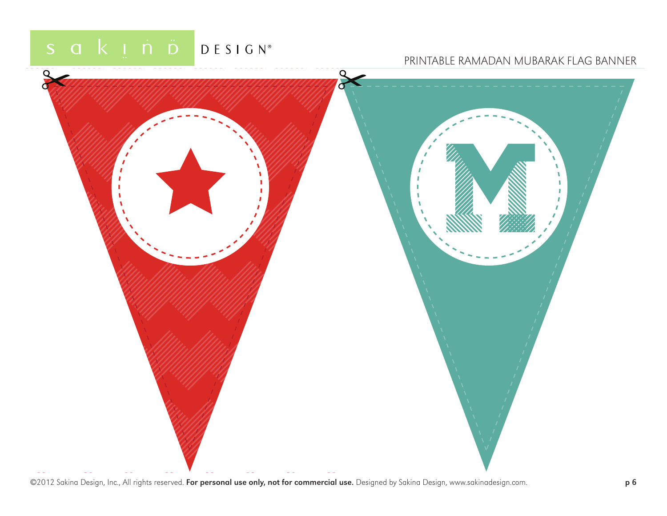![](_page_5_Picture_2.jpeg)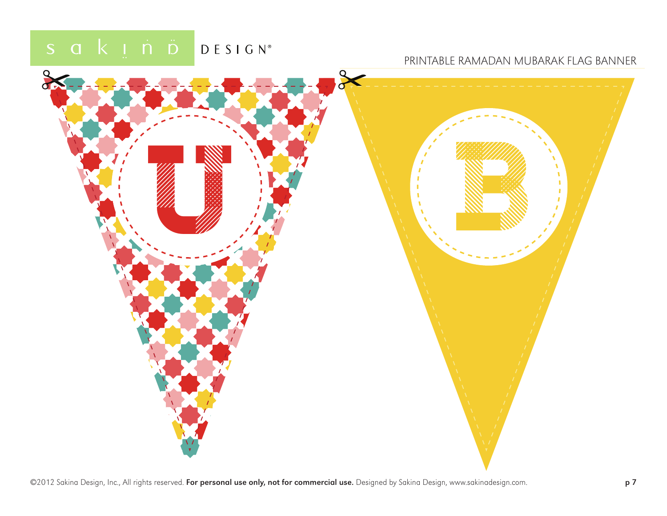![](_page_6_Picture_2.jpeg)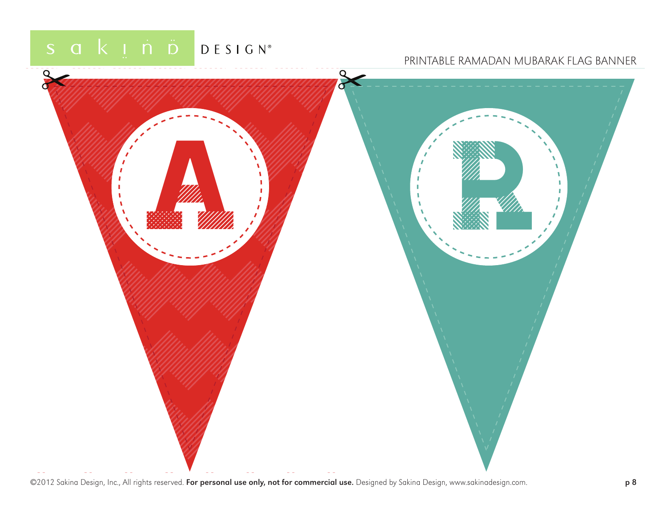![](_page_7_Picture_2.jpeg)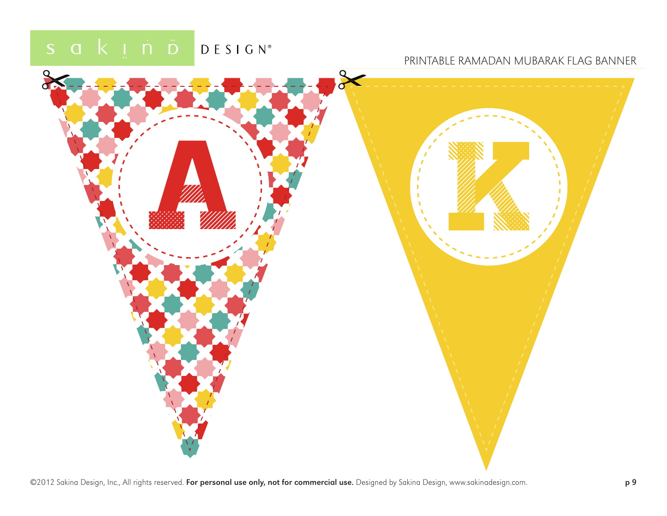![](_page_8_Picture_2.jpeg)